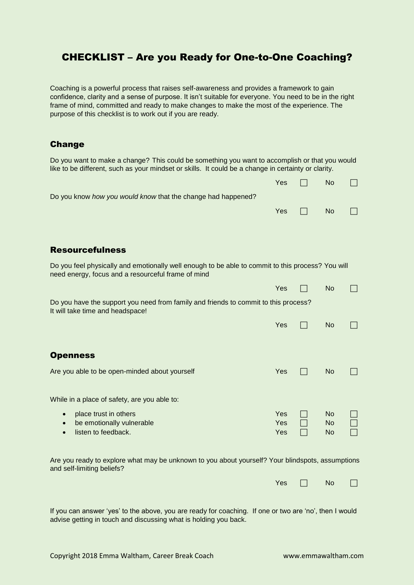## CHECKLIST – Are you Ready for One-to-One Coaching?

Coaching is a powerful process that raises self-awareness and provides a framework to gain confidence, clarity and a sense of purpose. It isn't suitable for everyone. You need to be in the right frame of mind, committed and ready to make changes to make the most of the experience. The purpose of this checklist is to work out if you are ready.

## Change

Do you want to make a change? This could be something you want to accomplish or that you would like to be different, such as your mindset or skills. It could be a change in certainty or clarity.

|                                                                                                                                                         | Yes | N <sub>o</sub> |  |
|---------------------------------------------------------------------------------------------------------------------------------------------------------|-----|----------------|--|
| Do you know <i>how you would know</i> that the change had happened?                                                                                     |     |                |  |
|                                                                                                                                                         | Yes | No.            |  |
|                                                                                                                                                         |     |                |  |
|                                                                                                                                                         |     |                |  |
| <b>Resourcefulness</b>                                                                                                                                  |     |                |  |
| Do you feel physically and emotionally well enough to be able to commit to this process? You will<br>need energy, focus and a resourceful frame of mind |     |                |  |
|                                                                                                                                                         | Yes | No.            |  |
| Do you have the support you need from family and friends to commit to this process?<br>It will take time and headspace!                                 |     |                |  |

## **Openness**

| Are you able to be open-minded about yourself                                          | Yes               | No.                    |  |
|----------------------------------------------------------------------------------------|-------------------|------------------------|--|
| While in a place of safety, are you able to:                                           |                   |                        |  |
| place trust in others<br>be emotionally vulnerable<br>$\bullet$<br>listen to feedback. | Yes<br>Yes<br>Yes | No.<br><b>No</b><br>No |  |

Are you ready to explore what may be unknown to you about yourself? Your blindspots, assumptions and self-limiting beliefs?

| Yes<br>$\Box$ | <b>No</b> |  |
|---------------|-----------|--|
|---------------|-----------|--|

Yes  $\Box$  No  $\Box$ 

If you can answer 'yes' to the above, you are ready for coaching. If one or two are 'no', then I would advise getting in touch and discussing what is holding you back.